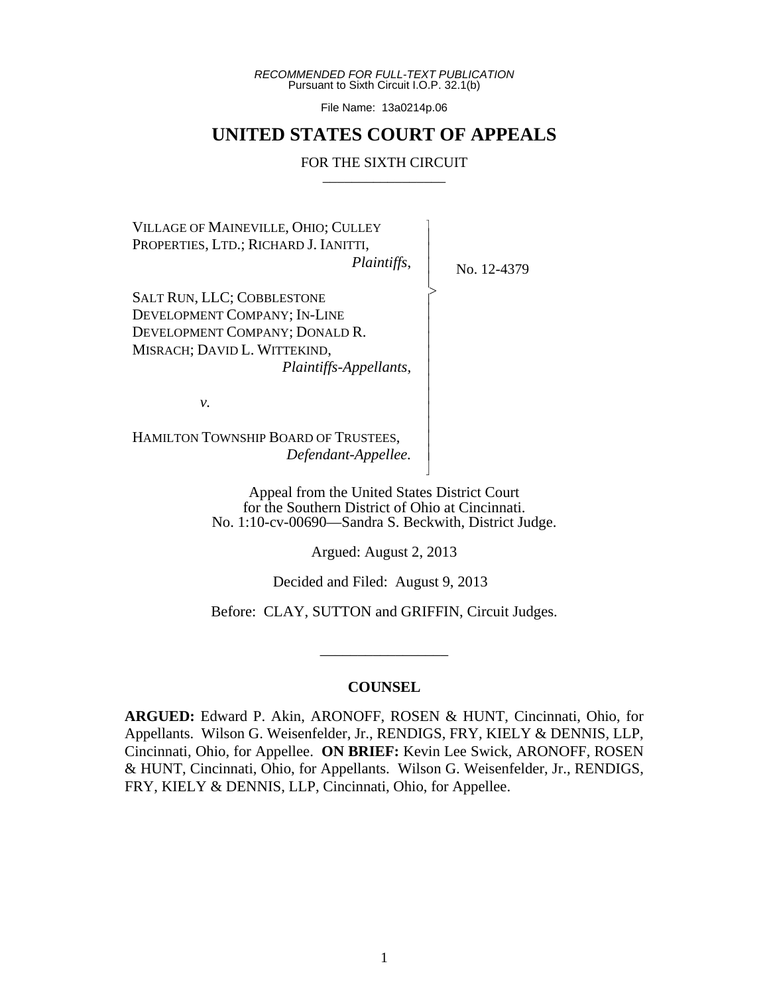*RECOMMENDED FOR FULL-TEXT PUBLICATION* Pursuant to Sixth Circuit I.O.P. 32.1(b)

File Name: 13a0214p.06

# **UNITED STATES COURT OF APPEALS**

### FOR THE SIXTH CIRCUIT

VILLAGE OF MAINEVILLE, OHIO; CULLEY PROPERTIES, LTD.; RICHARD J. IANITTI,

*Plaintiffs*,

 $\overline{\phantom{a}}$ - - - > , - - - - - - - - - - - N

No. 12-4379

SALT RUN, LLC; COBBLESTONE DEVELOPMENT COMPANY; IN-LINE DEVELOPMENT COMPANY; DONALD R. MISRACH; DAVID L. WITTEKIND,  *Plaintiffs-Appellants,*

*v.*

HAMILTON TOWNSHIP BOARD OF TRUSTEES, *Defendant-Appellee.*

> Appeal from the United States District Court for the Southern District of Ohio at Cincinnati. No. 1:10-cv-00690—Sandra S. Beckwith, District Judge.

> > Argued: August 2, 2013

Decided and Filed: August 9, 2013

Before: CLAY, SUTTON and GRIFFIN, Circuit Judges.

\_\_\_\_\_\_\_\_\_\_\_\_\_\_\_\_\_

### **COUNSEL**

**ARGUED:** Edward P. Akin, ARONOFF, ROSEN & HUNT, Cincinnati, Ohio, for Appellants. Wilson G. Weisenfelder, Jr., RENDIGS, FRY, KIELY & DENNIS, LLP, Cincinnati, Ohio, for Appellee. **ON BRIEF:** Kevin Lee Swick, ARONOFF, ROSEN & HUNT, Cincinnati, Ohio, for Appellants. Wilson G. Weisenfelder, Jr., RENDIGS, FRY, KIELY & DENNIS, LLP, Cincinnati, Ohio, for Appellee.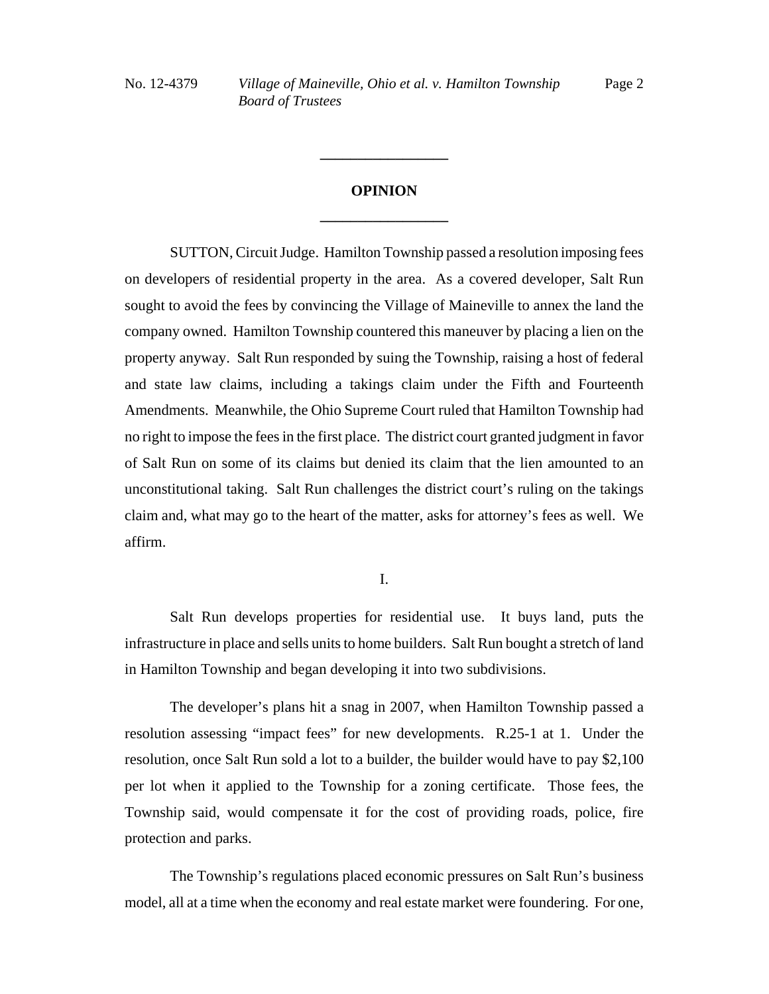# **OPINION \_\_\_\_\_\_\_\_\_\_\_\_\_\_\_\_\_**

**\_\_\_\_\_\_\_\_\_\_\_\_\_\_\_\_\_**

SUTTON, Circuit Judge. Hamilton Township passed a resolution imposing fees on developers of residential property in the area. As a covered developer, Salt Run sought to avoid the fees by convincing the Village of Maineville to annex the land the company owned. Hamilton Township countered this maneuver by placing a lien on the property anyway. Salt Run responded by suing the Township, raising a host of federal and state law claims, including a takings claim under the Fifth and Fourteenth Amendments. Meanwhile, the Ohio Supreme Court ruled that Hamilton Township had no right to impose the fees in the first place. The district court granted judgment in favor of Salt Run on some of its claims but denied its claim that the lien amounted to an unconstitutional taking. Salt Run challenges the district court's ruling on the takings claim and, what may go to the heart of the matter, asks for attorney's fees as well. We affirm.

I.

Salt Run develops properties for residential use. It buys land, puts the infrastructure in place and sells units to home builders. Salt Run bought a stretch of land in Hamilton Township and began developing it into two subdivisions.

The developer's plans hit a snag in 2007, when Hamilton Township passed a resolution assessing "impact fees" for new developments. R.25-1 at 1. Under the resolution, once Salt Run sold a lot to a builder, the builder would have to pay \$2,100 per lot when it applied to the Township for a zoning certificate. Those fees, the Township said, would compensate it for the cost of providing roads, police, fire protection and parks.

The Township's regulations placed economic pressures on Salt Run's business model, all at a time when the economy and real estate market were foundering. For one,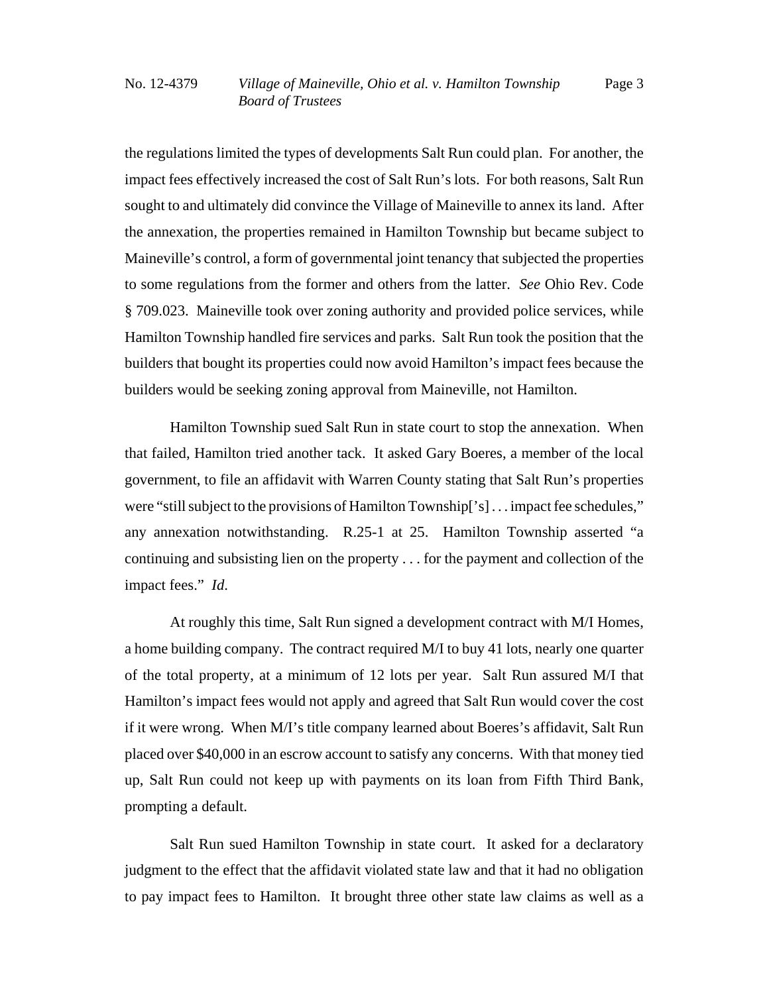the regulations limited the types of developments Salt Run could plan. For another, the impact fees effectively increased the cost of Salt Run's lots. For both reasons, Salt Run sought to and ultimately did convince the Village of Maineville to annex its land. After the annexation, the properties remained in Hamilton Township but became subject to Maineville's control, a form of governmental joint tenancy that subjected the properties to some regulations from the former and others from the latter. *See* Ohio Rev. Code § 709.023. Maineville took over zoning authority and provided police services, while Hamilton Township handled fire services and parks. Salt Run took the position that the builders that bought its properties could now avoid Hamilton's impact fees because the builders would be seeking zoning approval from Maineville, not Hamilton.

Hamilton Township sued Salt Run in state court to stop the annexation. When that failed, Hamilton tried another tack. It asked Gary Boeres, a member of the local government, to file an affidavit with Warren County stating that Salt Run's properties were "still subject to the provisions of Hamilton Township['s] . . . impact fee schedules," any annexation notwithstanding. R.25-1 at 25. Hamilton Township asserted "a continuing and subsisting lien on the property . . . for the payment and collection of the impact fees." *Id*.

At roughly this time, Salt Run signed a development contract with M/I Homes, a home building company. The contract required M/I to buy 41 lots, nearly one quarter of the total property, at a minimum of 12 lots per year. Salt Run assured M/I that Hamilton's impact fees would not apply and agreed that Salt Run would cover the cost if it were wrong. When M/I's title company learned about Boeres's affidavit, Salt Run placed over \$40,000 in an escrow account to satisfy any concerns. With that money tied up, Salt Run could not keep up with payments on its loan from Fifth Third Bank, prompting a default.

Salt Run sued Hamilton Township in state court. It asked for a declaratory judgment to the effect that the affidavit violated state law and that it had no obligation to pay impact fees to Hamilton. It brought three other state law claims as well as a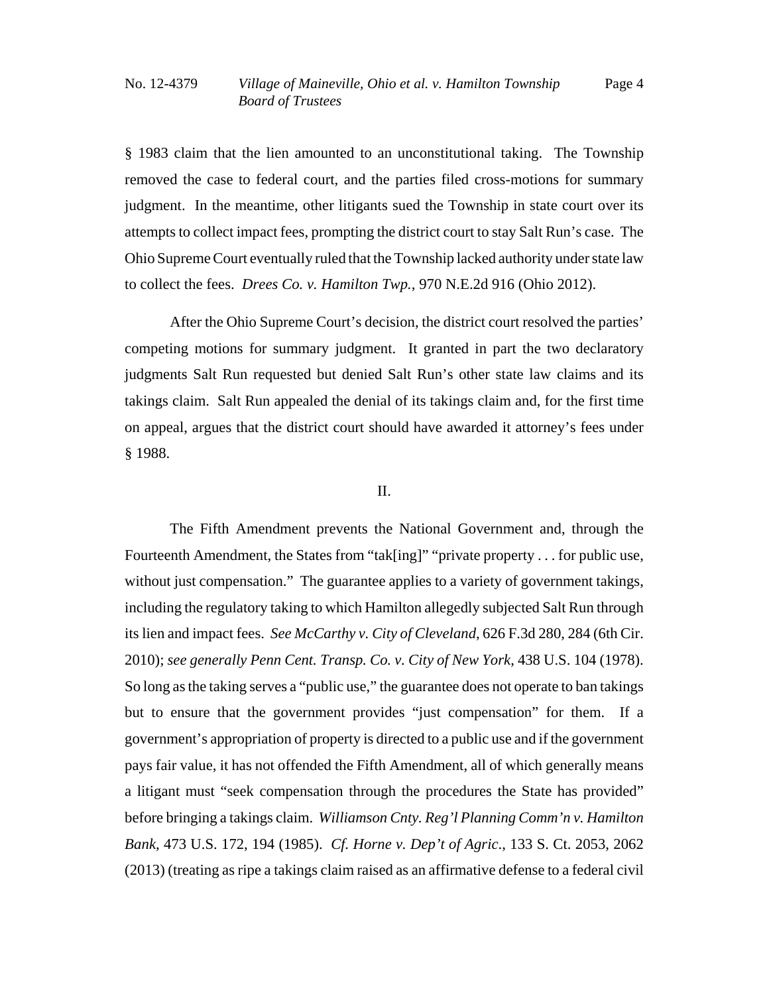§ 1983 claim that the lien amounted to an unconstitutional taking. The Township removed the case to federal court, and the parties filed cross-motions for summary judgment. In the meantime, other litigants sued the Township in state court over its attempts to collect impact fees, prompting the district court to stay Salt Run's case. The Ohio Supreme Court eventually ruled that the Township lacked authority under state law to collect the fees. *Drees Co. v. Hamilton Twp.*, 970 N.E.2d 916 (Ohio 2012).

After the Ohio Supreme Court's decision, the district court resolved the parties' competing motions for summary judgment. It granted in part the two declaratory judgments Salt Run requested but denied Salt Run's other state law claims and its takings claim. Salt Run appealed the denial of its takings claim and, for the first time on appeal, argues that the district court should have awarded it attorney's fees under § 1988.

## II.

The Fifth Amendment prevents the National Government and, through the Fourteenth Amendment, the States from "tak[ing]" "private property . . . for public use, without just compensation." The guarantee applies to a variety of government takings, including the regulatory taking to which Hamilton allegedly subjected Salt Run through its lien and impact fees. *See McCarthy v. City of Cleveland*, 626 F.3d 280, 284 (6th Cir. 2010); *see generally Penn Cent. Transp. Co. v. City of New York*, 438 U.S. 104 (1978). So long as the taking serves a "public use," the guarantee does not operate to ban takings but to ensure that the government provides "just compensation" for them. If a government's appropriation of property is directed to a public use and if the government pays fair value, it has not offended the Fifth Amendment, all of which generally means a litigant must "seek compensation through the procedures the State has provided" before bringing a takings claim. *Williamson Cnty. Reg'l Planning Comm'n v. Hamilton Bank*, 473 U.S. 172, 194 (1985). *Cf. Horne v. Dep't of Agric*., 133 S. Ct. 2053, 2062 (2013) (treating as ripe a takings claim raised as an affirmative defense to a federal civil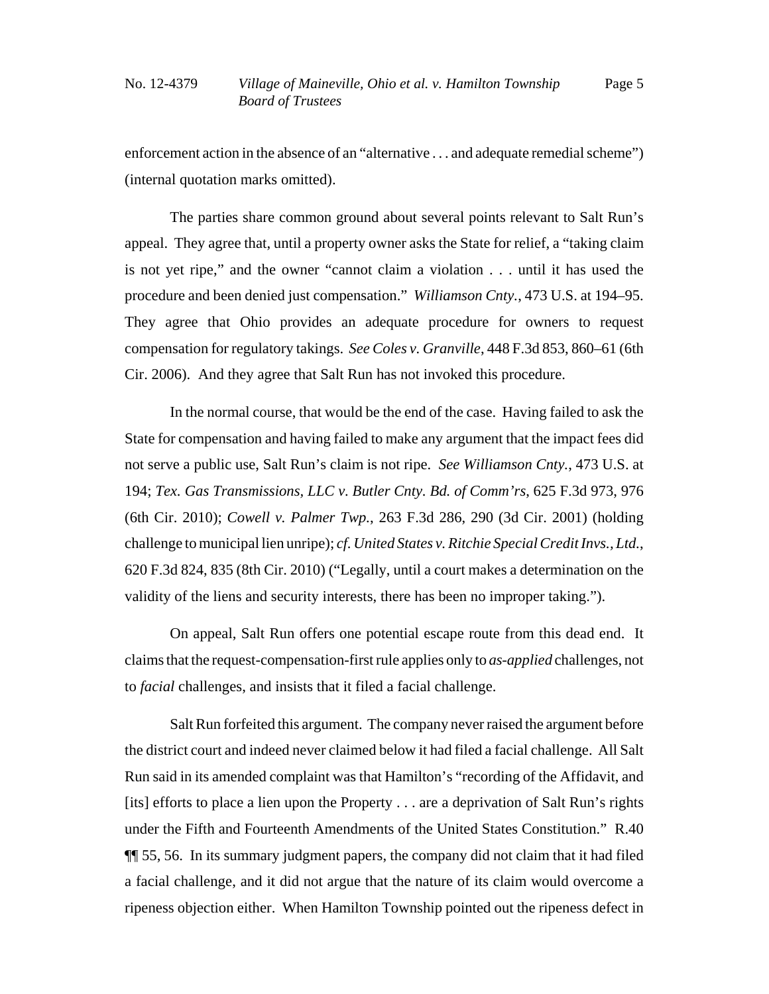enforcement action in the absence of an "alternative . . . and adequate remedial scheme") (internal quotation marks omitted).

The parties share common ground about several points relevant to Salt Run's appeal. They agree that, until a property owner asks the State for relief, a "taking claim is not yet ripe," and the owner "cannot claim a violation . . . until it has used the procedure and been denied just compensation." *Williamson Cnty.*, 473 U.S. at 194–95. They agree that Ohio provides an adequate procedure for owners to request compensation for regulatory takings. *See Coles v. Granville*, 448 F.3d 853, 860–61 (6th Cir. 2006). And they agree that Salt Run has not invoked this procedure.

In the normal course, that would be the end of the case. Having failed to ask the State for compensation and having failed to make any argument that the impact fees did not serve a public use, Salt Run's claim is not ripe. *See Williamson Cnty.*, 473 U.S. at 194; *Tex. Gas Transmissions, LLC v. Butler Cnty. Bd. of Comm'rs*, 625 F.3d 973, 976 (6th Cir. 2010); *Cowell v. Palmer Twp.*, 263 F.3d 286, 290 (3d Cir. 2001) (holding challenge to municipal lien unripe); *cf. United States v. Ritchie Special Credit Invs., Ltd.*, 620 F.3d 824, 835 (8th Cir. 2010) ("Legally, until a court makes a determination on the validity of the liens and security interests, there has been no improper taking.").

On appeal, Salt Run offers one potential escape route from this dead end. It claims that the request-compensation-first rule applies only to *as-applied* challenges, not to *facial* challenges, and insists that it filed a facial challenge.

Salt Run forfeited this argument. The company never raised the argument before the district court and indeed never claimed below it had filed a facial challenge. All Salt Run said in its amended complaint was that Hamilton's "recording of the Affidavit, and [its] efforts to place a lien upon the Property . . . are a deprivation of Salt Run's rights under the Fifth and Fourteenth Amendments of the United States Constitution." R.40 ¶¶ 55, 56. In its summary judgment papers, the company did not claim that it had filed a facial challenge, and it did not argue that the nature of its claim would overcome a ripeness objection either. When Hamilton Township pointed out the ripeness defect in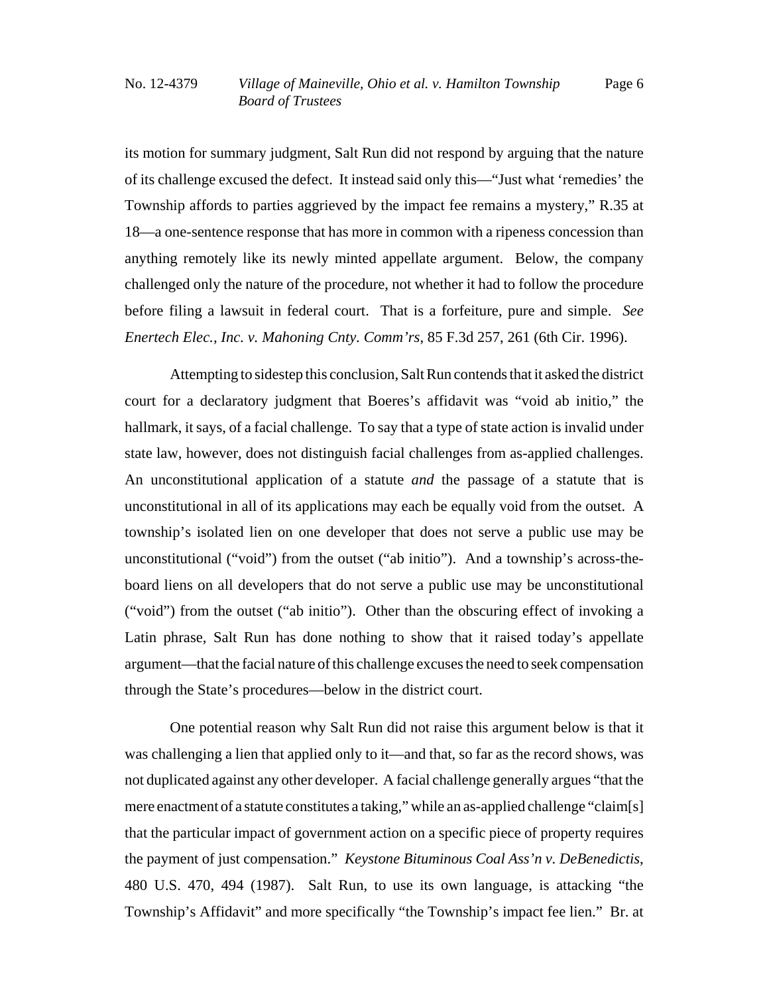its motion for summary judgment, Salt Run did not respond by arguing that the nature of its challenge excused the defect. It instead said only this—"Just what 'remedies' the Township affords to parties aggrieved by the impact fee remains a mystery," R.35 at 18—a one-sentence response that has more in common with a ripeness concession than anything remotely like its newly minted appellate argument. Below, the company challenged only the nature of the procedure, not whether it had to follow the procedure before filing a lawsuit in federal court. That is a forfeiture, pure and simple. *See Enertech Elec., Inc. v. Mahoning Cnty. Comm'rs*, 85 F.3d 257, 261 (6th Cir. 1996).

Attempting to sidestep this conclusion, Salt Run contends that it asked the district court for a declaratory judgment that Boeres's affidavit was "void ab initio," the hallmark, it says, of a facial challenge. To say that a type of state action is invalid under state law, however, does not distinguish facial challenges from as-applied challenges. An unconstitutional application of a statute *and* the passage of a statute that is unconstitutional in all of its applications may each be equally void from the outset. A township's isolated lien on one developer that does not serve a public use may be unconstitutional ("void") from the outset ("ab initio"). And a township's across-theboard liens on all developers that do not serve a public use may be unconstitutional ("void") from the outset ("ab initio"). Other than the obscuring effect of invoking a Latin phrase, Salt Run has done nothing to show that it raised today's appellate argument—that the facial nature of this challenge excuses the need to seek compensation through the State's procedures—below in the district court.

One potential reason why Salt Run did not raise this argument below is that it was challenging a lien that applied only to it—and that, so far as the record shows, was not duplicated against any other developer. A facial challenge generally argues "that the mere enactment of a statute constitutes a taking," while an as-applied challenge "claim[s] that the particular impact of government action on a specific piece of property requires the payment of just compensation." *Keystone Bituminous Coal Ass'n v. DeBenedictis*, 480 U.S. 470, 494 (1987). Salt Run, to use its own language, is attacking "the Township's Affidavit" and more specifically "the Township's impact fee lien." Br. at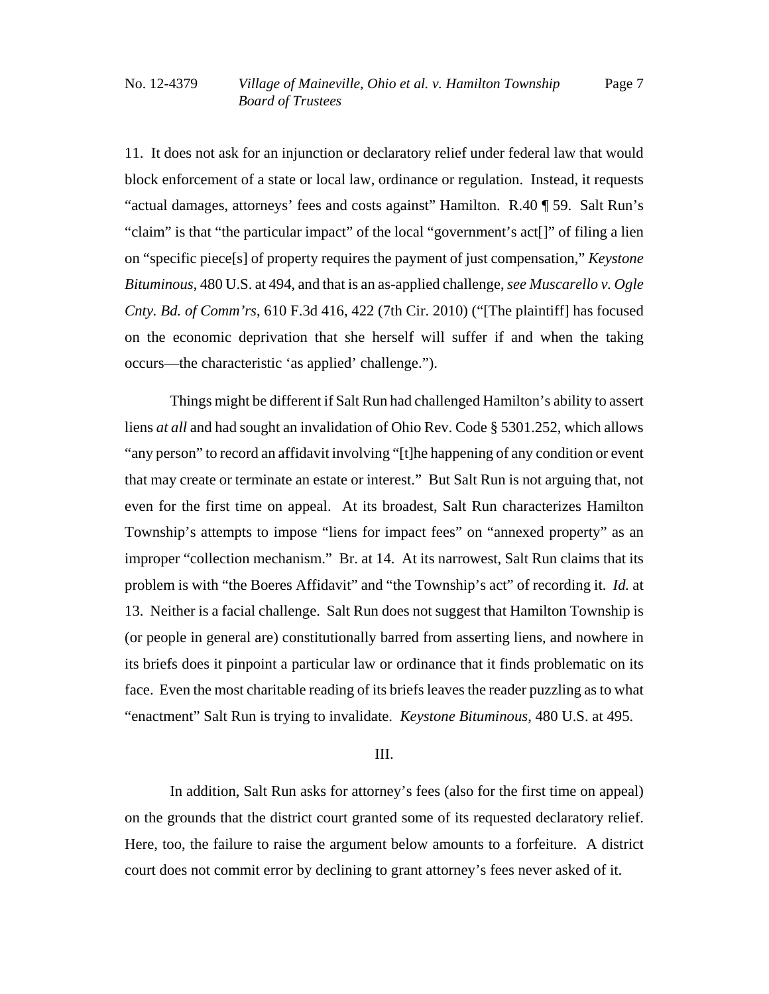11. It does not ask for an injunction or declaratory relief under federal law that would block enforcement of a state or local law, ordinance or regulation. Instead, it requests "actual damages, attorneys' fees and costs against" Hamilton. R.40 ¶ 59. Salt Run's "claim" is that "the particular impact" of the local "government's act[]" of filing a lien on "specific piece[s] of property requires the payment of just compensation," *Keystone Bituminous*, 480 U.S. at 494, and that is an as-applied challenge, *see Muscarello v. Ogle Cnty. Bd. of Comm'rs*, 610 F.3d 416, 422 (7th Cir. 2010) ("[The plaintiff] has focused on the economic deprivation that she herself will suffer if and when the taking occurs—the characteristic 'as applied' challenge.").

Things might be different if Salt Run had challenged Hamilton's ability to assert liens *at all* and had sought an invalidation of Ohio Rev. Code § 5301.252, which allows "any person" to record an affidavit involving "[t]he happening of any condition or event that may create or terminate an estate or interest." But Salt Run is not arguing that, not even for the first time on appeal. At its broadest, Salt Run characterizes Hamilton Township's attempts to impose "liens for impact fees" on "annexed property" as an improper "collection mechanism." Br. at 14. At its narrowest, Salt Run claims that its problem is with "the Boeres Affidavit" and "the Township's act" of recording it. *Id.* at 13. Neither is a facial challenge. Salt Run does not suggest that Hamilton Township is (or people in general are) constitutionally barred from asserting liens, and nowhere in its briefs does it pinpoint a particular law or ordinance that it finds problematic on its face. Even the most charitable reading of its briefs leaves the reader puzzling as to what "enactment" Salt Run is trying to invalidate. *Keystone Bituminous*, 480 U.S. at 495.

### III.

In addition, Salt Run asks for attorney's fees (also for the first time on appeal) on the grounds that the district court granted some of its requested declaratory relief. Here, too, the failure to raise the argument below amounts to a forfeiture. A district court does not commit error by declining to grant attorney's fees never asked of it.